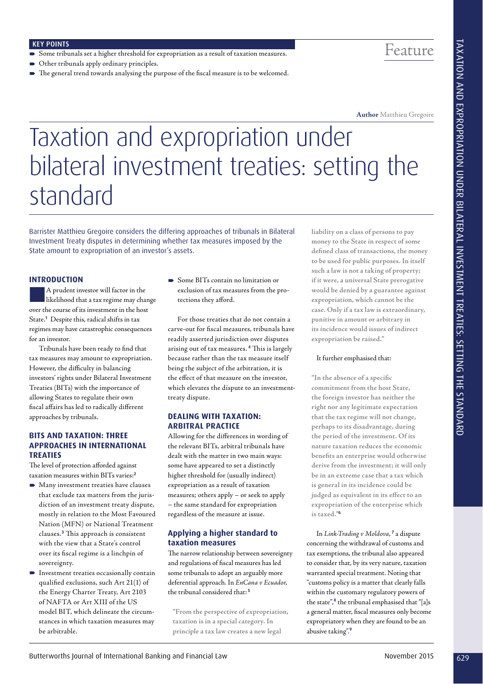### KEY POINTS

- Some tribunals set a higher threshold for expropriation as a result of taxation measures.
- Other tribunals apply ordinary principles.
- The general trend towards analysing the purpose of the fiscal measure is to be welcomed.

Feature

**Author** Matthieu Gregoire

# Taxation and expropriation under bilateral investment treaties: setting the standard Example in the control of International of International Case of International Case of International Case of International Case of International Case of International Case of International Case of International Case of In

Barrister Matthieu Gregoire considers the differing approaches of tribunals in Bilateral Investment Treaty disputes in determining whether tax measures imposed by the State amount to expropriation of an investor's assets.

# **INTRODUCTION**

A prudent investor will factor in the likelihood that a tax regime may change over the course of its investment in the host State.**<sup>1</sup>** Despite this, radical shifts in tax regimes may have catastrophic consequences for an investor.

Tribunals have been ready to find that tax measures may amount to expropriation. However, the difficulty in balancing investors' rights under Bilateral Investment Treaties (BITs) with the importance of allowing States to regulate their own fiscal affairs has led to radically different approaches by tribunals.

# **BITS AND TAXATION: THREE APPROACHES IN INTERNATIONAL TREATIES**

The level of protection afforded against taxation measures within BITs varies:**<sup>2</sup>**

- $\blacksquare$  Many investment treaties have clauses that exclude tax matters from the jurisdiction of an investment treaty dispute, mostly in relation to the Most Favoured Nation (MFN) or National Treatment clauses.**<sup>3</sup>** This approach is consistent with the view that a State's control over its fiscal regime is a linchpin of sovereignty.
- **Investment treaties occasionally contain** qualified exclusions, such Art 21(1) of the Energy Charter Treaty, Art 2103 of NAFTA or Art XIII of the US model BIT, which delineate the circumstances in which taxation measures may be arbitrable.

 Some BITs contain no limitation or exclusion of tax measures from the protections they afford.

For those treaties that do not contain a carve-out for fiscal measures, tribunals have readily asserted jurisdiction over disputes arising out of tax measures. **<sup>4</sup>** This is largely because rather than the tax measure itself being the subject of the arbitration, it is the effect of that measure on the investor, which elevates the dispute to an investmenttreaty dispute.

# **DEALING WITH TAXATION: ARBITRAL PRACTICE**

Allowing for the differences in wording of the relevant BITs, arbitral tribunals have dealt with the matter in two main ways: some have appeared to set a distinctly higher threshold for (usually indirect) expropriation as a result of taxation measures; others apply – or seek to apply – the same standard for expropriation regardless of the measure at issue.

# **Applying a higher standard to taxation measures**

The narrow relationship between sovereignty and regulations of fiscal measures has led some tribunals to adopt an arguably more deferential approach. In EnCana v Ecuador, the tribunal considered that: **<sup>5</sup>**

**"From the perspective of expropriation, taxation is in a special category. In principle a tax law creates a new legal** 

**liability on a class of persons to pay money to the State in respect of some defined class of transactions, the money to be used for public purposes. In itself such a law is not a taking of property; if it were, a universal State prerogative would be denied by a guarantee against expropriation, which cannot be the case. Only if a tax law is extraordinary, punitive in amount or arbitrary in its incidence would issues of indirect expropriation be raised."** 

## It further emphasised that:

**"In the absence of a specific commitment from the host State, the foreign investor has neither the right nor any legitimate expectation that the tax regime will not change, perhaps to its disadvantage, during the period of the investment. Of its nature taxation reduces the economic benefits an enterprise would otherwise derive from the investment; it will only be in an extreme case that a tax which is general in its incidence could be judged as equivalent in its effect to an expropriation of the enterprise which is taxed."<sup>6</sup>**

In Link-Trading v Moldova, **<sup>7</sup>** a dispute concerning the withdrawal of customs and tax exemptions, the tribunal also appeared to consider that, by its very nature, taxation warranted special treatment. Noting that "customs policy is a matter that clearly falls within the customary regulatory powers of the state",**<sup>8</sup>** the tribunal emphasised that "[a]s a general matter, fiscal measures only become expropriatory when they are found to be an abusive taking". **9**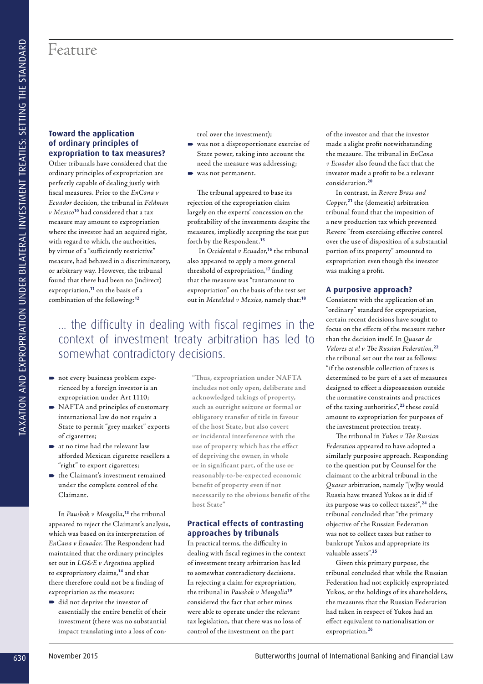# **Toward the application of ordinary principles of expropriation to tax measures?**

Other tribunals have considered that the ordinary principles of expropriation are perfectly capable of dealing justly with fiscal measures. Prior to the EnCana v Ecuador decision, the tribunal in Feldman v Mexico**<sup>10</sup>** had considered that a tax measure may amount to expropriation where the investor had an acquired right, with regard to which, the authorities, by virtue of a "sufficiently restrictive" measure, had behaved in a discriminatory, or arbitrary way. However, the tribunal found that there had been no (indirect) expropriation,**<sup>11</sup>** on the basis of a combination of the following:**<sup>12</sup>** Fective of the properties of the system in the system of the system of the system of the system of the system of the system of the system of the system of the system of the system of the system of the system of the system

trol over the investment);

- was not a disproportionate exercise of State power, taking into account the need the measure was addressing;
- was not permanent.

The tribunal appeared to base its rejection of the expropriation claim largely on the experts' concession on the profitability of the investments despite the measures, impliedly accepting the test put forth by the Respondent.**<sup>15</sup>**

In Occidental v Ecuador,<sup>16</sup> the tribunal also appeared to apply a more general threshold of expropriation,**<sup>17</sup>** finding that the measure was "tantamount to expropriation" on the basis of the test set out in Metalclad v Mexico, namely that:**<sup>18</sup>**

# ... the difficulty in dealing with fiscal regimes in the context of investment treaty arbitration has led to somewhat contradictory decisions.

- not every business problem experienced by a foreign investor is an expropriation under Art 1110;
- $\blacksquare$  NAFTA and principles of customary international law do not require a State to permit "grey market" exports of cigarettes;
- at no time had the relevant law afforded Mexican cigarette resellers a "right" to export cigarettes;
- the Claimant's investment remained under the complete control of the Claimant.

In Paushok v Mongolia, **<sup>13</sup>** the tribunal appeared to reject the Claimant's analysis, which was based on its interpretation of EnCana v Ecuador. The Respondent had maintained that the ordinary principles set out in LG&E v Argentina applied to expropriatory claims,**<sup>14</sup>** and that there therefore could not be a finding of expropriation as the measure:

did not deprive the investor of essentially the entire benefit of their investment (there was no substantial impact translating into a loss of con-

**"Thus, expropriation under NAFTA includes not only open, deliberate and acknowledged takings of property, such as outright seizure or formal or obligatory transfer of title in favour of the host State, but also covert or incidental interference with the use of property which has the effect of depriving the owner, in whole or in significant part, of the use or reasonably-to-be-expected economic benefit of property even if not necessarily to the obvious benefit of the host State"**

# **Practical effects of contrasting approaches by tribunals**

In practical terms, the difficulty in dealing with fiscal regimes in the context of investment treaty arbitration has led to somewhat contradictory decisions. In rejecting a claim for expropriation, the tribunal in Paushok v Mongolia**<sup>19</sup>** considered the fact that other mines were able to operate under the relevant tax legislation, that there was no loss of control of the investment on the part

of the investor and that the investor made a slight profit notwithstanding the measure. The tribunal in EnCana v Ecuador also found the fact that the investor made a profit to be a relevant consideration.**<sup>20</sup>**

In contrast, in Revere Brass and Copper, **<sup>21</sup>** the (domestic) arbitration tribunal found that the imposition of a new production tax which prevented Revere "from exercising effective control over the use of disposition of a substantial portion of its property" amounted to expropriation even though the investor was making a profit.

# **A purposive approach?**

Consistent with the application of an "ordinary" standard for expropriation, certain recent decisions have sought to focus on the effects of the measure rather than the decision itself. In Quasar de Valores et al v The Russian Federation, **22** the tribunal set out the test as follows: "if the ostensible collection of taxes is determined to be part of a set of measures designed to effect a dispossession outside the normative constraints and practices of the taxing authorities",**<sup>23</sup>**these could amount to expropriation for purposes of the investment protection treaty.

The tribunal in Yukos v The Russian Federation appeared to have adopted a similarly purposive approach. Responding to the question put by Counsel for the claimant to the arbitral tribunal in the Quasar arbitration, namely "[w]hy would Russia have treated Yukos as it did if its purpose was to collect taxes?",**<sup>24</sup>** the tribunal concluded that "the primary objective of the Russian Federation was not to collect taxes but rather to bankrupt Yukos and appropriate its valuable assets".**<sup>25</sup>**

Given this primary purpose, the tribunal concluded that while the Russian Federation had not explicitly expropriated Yukos, or the holdings of its shareholders, the measures that the Russian Federation had taken in respect of Yukos had an effect equivalent to nationalisation or expropriation.**<sup>26</sup>**